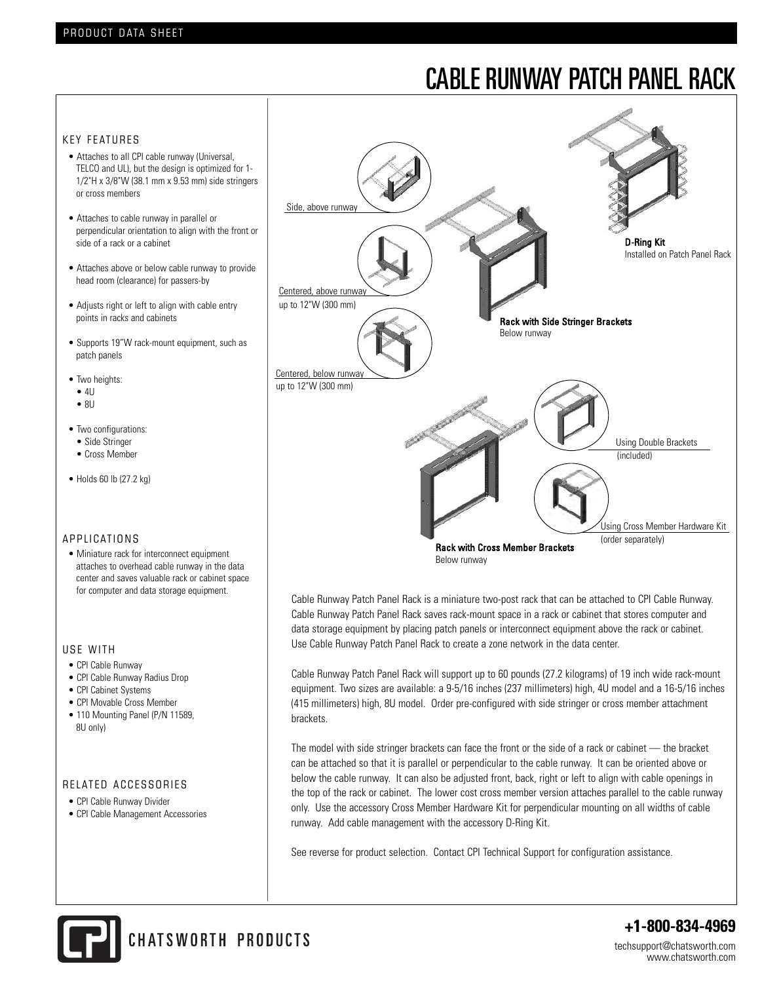# CABLE RUNWAY PATCH PANEL RACK

#### KEY FEATURES

- Attaches to all CPI cable runway (Universal, TELCO and UL), but the design is optimized for 1- 1/2"H x 3/8"W (38.1 mm x 9.53 mm) side stringers or cross members
- Attaches to cable runway in parallel or perpendicular orientation to align with the front or side of a rack or a cabinet
- Attaches above or below cable runway to provide head room (clearance) for passers-by
- Adjusts right or left to align with cable entry points in racks and cabinets
- Supports 19"W rack-mount equipment, such as patch panels
- Two heights:
- $\bullet$  4U
- $\bullet$  8U
- Two configurations:
- Side Stringer
- Cross Member
- Holds 60 lb (27.2 kg)

#### A P P LICATIONS

• Miniature rack for interconnect equipment attaches to overhead cable runway in the data center and saves valuable rack or cabinet space for computer and data storage equipment.

#### USE WITH

- CPI Cable Runway
- CPI Cable Runway Radius Drop
- CPI Cabinet Systems
- CPI Movable Cross Member
- 110 Mounting Panel (P/N 11589, 8U only)

#### RELATED ACCESSORIES

- CPI Cable Runway Divider
- CPI Cable Management Accessories



Cable Runway Patch Panel Rack is a miniature two-post rack that can be attached to CPI Cable Runway. Cable Runway Patch Panel Rack saves rack-mount space in a rack or cabinet that stores computer and data storage equipment by placing patch panels or interconnect equipment above the rack or cabinet. Use Cable Runway Patch Panel Rack to create a zone network in the data center.

Cable Runway Patch Panel Rack will support up to 60 pounds (27.2 kilograms) of 19 inch wide rack-mount equipment. Two sizes are available: a 9-5/16 inches (237 millimeters) high, 4U model and a 16-5/16 inches (415 millimeters) high, 8U model. Order pre-configured with side stringer or cross member attachment brackets.

The model with side stringer brackets can face the front or the side of a rack or cabinet — the bracket can be attached so that it is parallel or perpendicular to the cable runway. It can be oriented above or below the cable runway. It can also be adjusted front, back, right or left to align with cable openings in the top of the rack or cabinet. The lower cost cross member version attaches parallel to the cable runway only. Use the accessory Cross Member Hardware Kit for perpendicular mounting on all widths of cable runway. Add cable management with the accessory D-Ring Kit.

See reverse for product selection. Contact CPI Technical Support for configuration assistance.



CHATSWORTH PRODUCTS

**+1-800-834-4969**

techsupport@chatsworth.com www.chatsworth.com